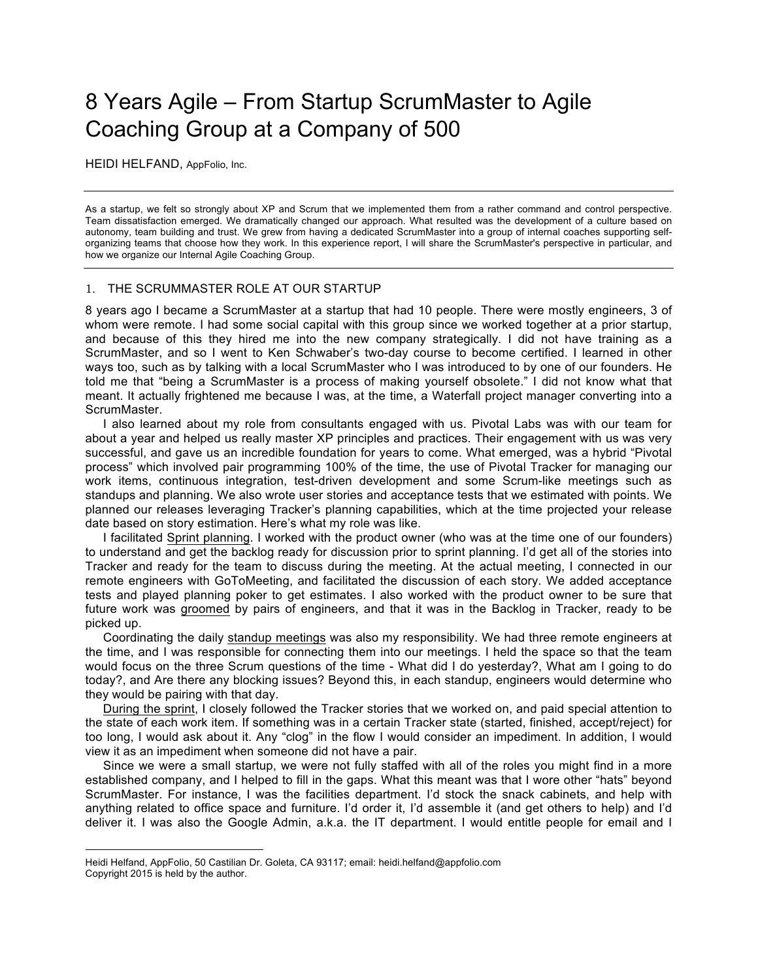# 8 Years Agile – From Startup ScrumMaster to Agile Coaching Group at a Company of 500

HEIDI HELFAND, AppFolio, Inc.

As a startup, we felt so strongly about XP and Scrum that we implemented them from a rather command and control perspective. Team dissatisfaction emerged. We dramatically changed our approach. What resulted was the development of a culture based on autonomy, team building and trust. We grew from having a dedicated ScrumMaster into a group of internal coaches supporting selforganizing teams that choose how they work. In this experience report, I will share the ScrumMaster's perspective in particular, and how we organize our Internal Agile Coaching Group.

## 1. THE SCRUMMASTER ROLE AT OUR STARTUP

8 years ago I became a ScrumMaster at a startup that had 10 people. There were mostly engineers, 3 of whom were remote. I had some social capital with this group since we worked together at a prior startup, and because of this they hired me into the new company strategically. I did not have training as a ScrumMaster, and so I went to Ken Schwaber's two-day course to become certified. I learned in other ways too, such as by talking with a local ScrumMaster who I was introduced to by one of our founders. He told me that "being a ScrumMaster is a process of making yourself obsolete." I did not know what that meant. It actually frightened me because I was, at the time, a Waterfall project manager converting into a ScrumMaster.

I also learned about my role from consultants engaged with us. Pivotal Labs was with our team for about a year and helped us really master XP principles and practices. Their engagement with us was very successful, and gave us an incredible foundation for years to come. What emerged, was a hybrid "Pivotal process" which involved pair programming 100% of the time, the use of Pivotal Tracker for managing our work items, continuous integration, test-driven development and some Scrum-like meetings such as standups and planning. We also wrote user stories and acceptance tests that we estimated with points. We planned our releases leveraging Tracker's planning capabilities, which at the time projected your release date based on story estimation. Here's what my role was like.

I facilitated Sprint planning. I worked with the product owner (who was at the time one of our founders) to understand and get the backlog ready for discussion prior to sprint planning. I'd get all of the stories into Tracker and ready for the team to discuss during the meeting. At the actual meeting, I connected in our remote engineers with GoToMeeting, and facilitated the discussion of each story. We added acceptance tests and played planning poker to get estimates. I also worked with the product owner to be sure that future work was groomed by pairs of engineers, and that it was in the Backlog in Tracker, ready to be picked up.

Coordinating the daily standup meetings was also my responsibility. We had three remote engineers at the time, and I was responsible for connecting them into our meetings. I held the space so that the team would focus on the three Scrum questions of the time - What did I do yesterday?, What am I going to do today?, and Are there any blocking issues? Beyond this, in each standup, engineers would determine who they would be pairing with that day.

During the sprint, I closely followed the Tracker stories that we worked on, and paid special attention to the state of each work item. If something was in a certain Tracker state (started, finished, accept/reject) for too long, I would ask about it. Any "clog" in the flow I would consider an impediment. In addition, I would view it as an impediment when someone did not have a pair.

Since we were a small startup, we were not fully staffed with all of the roles you might find in a more established company, and I helped to fill in the gaps. What this meant was that I wore other "hats" beyond ScrumMaster. For instance, I was the facilities department. I'd stock the snack cabinets, and help with anything related to office space and furniture. I'd order it, I'd assemble it (and get others to help) and I'd deliver it. I was also the Google Admin, a.k.a. the IT department. I would entitle people for email and I

 $\overline{a}$ 

Heidi Helfand, AppFolio, 50 Castilian Dr. Goleta, CA 93117; email: heidi.helfand@appfolio.com Copyright 2015 is held by the author.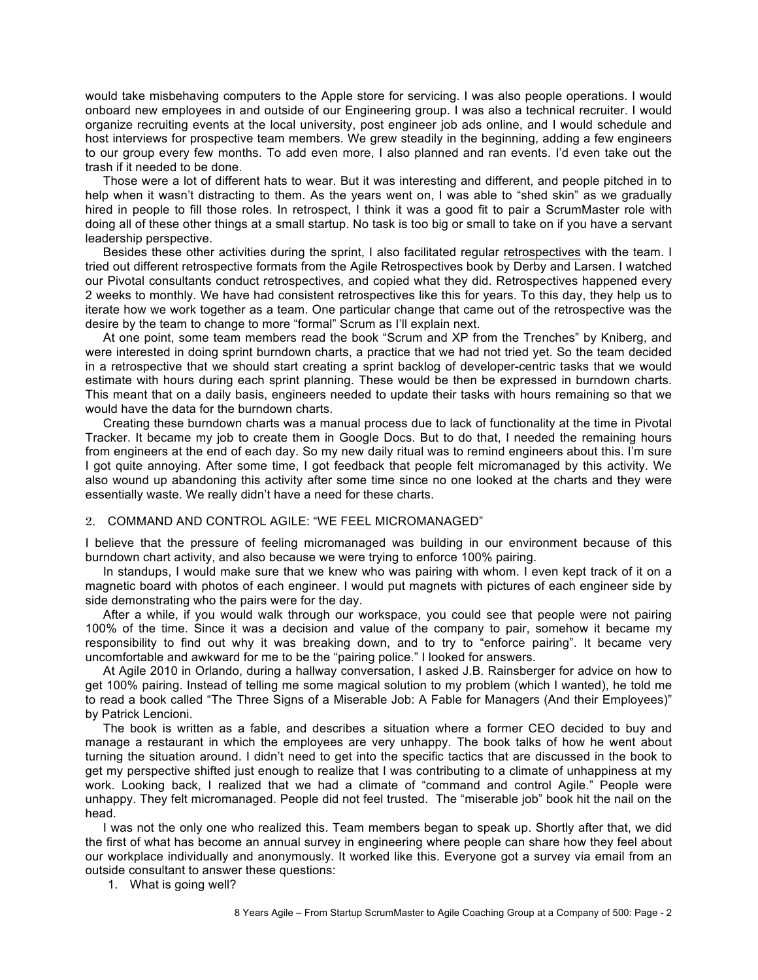would take misbehaving computers to the Apple store for servicing. I was also people operations. I would onboard new employees in and outside of our Engineering group. I was also a technical recruiter. I would organize recruiting events at the local university, post engineer job ads online, and I would schedule and host interviews for prospective team members. We grew steadily in the beginning, adding a few engineers to our group every few months. To add even more, I also planned and ran events. I'd even take out the trash if it needed to be done.

Those were a lot of different hats to wear. But it was interesting and different, and people pitched in to help when it wasn't distracting to them. As the years went on, I was able to "shed skin" as we gradually hired in people to fill those roles. In retrospect, I think it was a good fit to pair a ScrumMaster role with doing all of these other things at a small startup. No task is too big or small to take on if you have a servant leadership perspective.

Besides these other activities during the sprint, I also facilitated regular retrospectives with the team. I tried out different retrospective formats from the Agile Retrospectives book by Derby and Larsen. I watched our Pivotal consultants conduct retrospectives, and copied what they did. Retrospectives happened every 2 weeks to monthly. We have had consistent retrospectives like this for years. To this day, they help us to iterate how we work together as a team. One particular change that came out of the retrospective was the desire by the team to change to more "formal" Scrum as I'll explain next.

At one point, some team members read the book "Scrum and XP from the Trenches" by Kniberg, and were interested in doing sprint burndown charts, a practice that we had not tried yet. So the team decided in a retrospective that we should start creating a sprint backlog of developer-centric tasks that we would estimate with hours during each sprint planning. These would be then be expressed in burndown charts. This meant that on a daily basis, engineers needed to update their tasks with hours remaining so that we would have the data for the burndown charts.

Creating these burndown charts was a manual process due to lack of functionality at the time in Pivotal Tracker. It became my job to create them in Google Docs. But to do that, I needed the remaining hours from engineers at the end of each day. So my new daily ritual was to remind engineers about this. I'm sure I got quite annoying. After some time, I got feedback that people felt micromanaged by this activity. We also wound up abandoning this activity after some time since no one looked at the charts and they were essentially waste. We really didn't have a need for these charts.

## 2. COMMAND AND CONTROL AGILE: "WE FEEL MICROMANAGED"

I believe that the pressure of feeling micromanaged was building in our environment because of this burndown chart activity, and also because we were trying to enforce 100% pairing.

In standups, I would make sure that we knew who was pairing with whom. I even kept track of it on a magnetic board with photos of each engineer. I would put magnets with pictures of each engineer side by side demonstrating who the pairs were for the day.

After a while, if you would walk through our workspace, you could see that people were not pairing 100% of the time. Since it was a decision and value of the company to pair, somehow it became my responsibility to find out why it was breaking down, and to try to "enforce pairing". It became very uncomfortable and awkward for me to be the "pairing police." I looked for answers.

At Agile 2010 in Orlando, during a hallway conversation, I asked J.B. Rainsberger for advice on how to get 100% pairing. Instead of telling me some magical solution to my problem (which I wanted), he told me to read a book called "The Three Signs of a Miserable Job: A Fable for Managers (And their Employees)" by Patrick Lencioni.

The book is written as a fable, and describes a situation where a former CEO decided to buy and manage a restaurant in which the employees are very unhappy. The book talks of how he went about turning the situation around. I didn't need to get into the specific tactics that are discussed in the book to get my perspective shifted just enough to realize that I was contributing to a climate of unhappiness at my work. Looking back, I realized that we had a climate of "command and control Agile." People were unhappy. They felt micromanaged. People did not feel trusted. The "miserable job" book hit the nail on the head.

I was not the only one who realized this. Team members began to speak up. Shortly after that, we did the first of what has become an annual survey in engineering where people can share how they feel about our workplace individually and anonymously. It worked like this. Everyone got a survey via email from an outside consultant to answer these questions:

1. What is going well?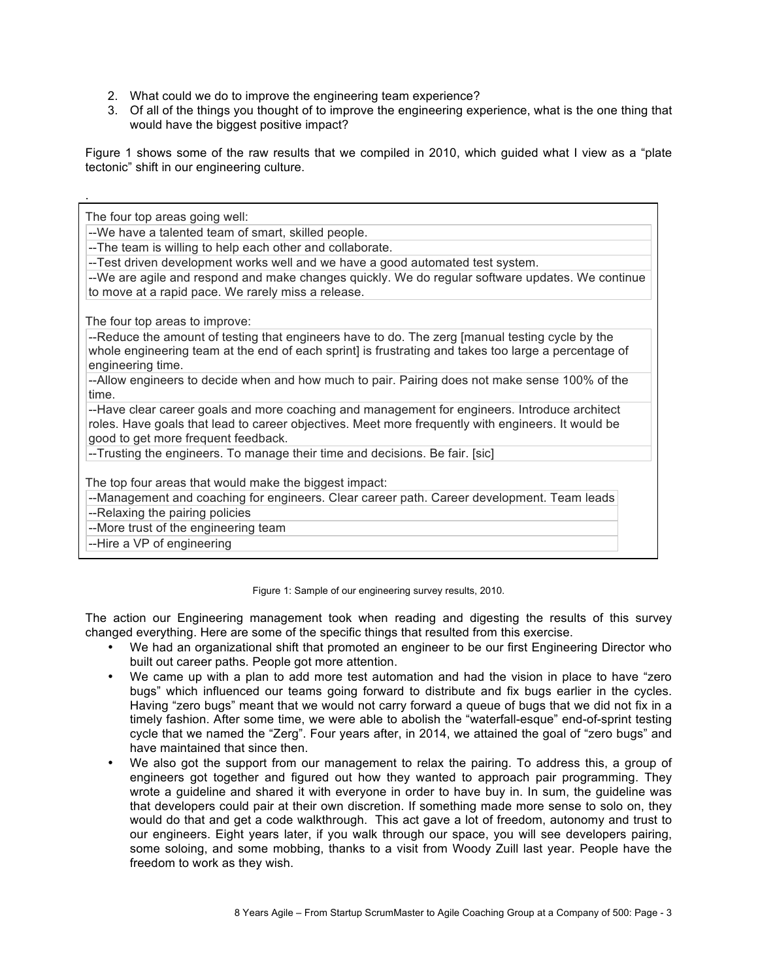2. What could we do to improve the engineering team experience?

.

3. Of all of the things you thought of to improve the engineering experience, what is the one thing that would have the biggest positive impact?

Figure 1 shows some of the raw results that we compiled in 2010, which guided what I view as a "plate tectonic" shift in our engineering culture.

The four top areas going well: --We have a talented team of smart, skilled people. --The team is willing to help each other and collaborate. --Test driven development works well and we have a good automated test system. --We are agile and respond and make changes quickly. We do regular software updates. We continue to move at a rapid pace. We rarely miss a release. The four top areas to improve: --Reduce the amount of testing that engineers have to do. The zerg [manual testing cycle by the whole engineering team at the end of each sprint] is frustrating and takes too large a percentage of engineering time. --Allow engineers to decide when and how much to pair. Pairing does not make sense 100% of the time. --Have clear career goals and more coaching and management for engineers. Introduce architect roles. Have goals that lead to career objectives. Meet more frequently with engineers. It would be good to get more frequent feedback. --Trusting the engineers. To manage their time and decisions. Be fair. [sic] The top four areas that would make the biggest impact: --Management and coaching for engineers. Clear career path. Career development. Team leads --Relaxing the pairing policies --More trust of the engineering team --Hire a VP of engineering

Figure 1: Sample of our engineering survey results, 2010.

The action our Engineering management took when reading and digesting the results of this survey changed everything. Here are some of the specific things that resulted from this exercise.

- We had an organizational shift that promoted an engineer to be our first Engineering Director who built out career paths. People got more attention.
- We came up with a plan to add more test automation and had the vision in place to have "zero" bugs" which influenced our teams going forward to distribute and fix bugs earlier in the cycles. Having "zero bugs" meant that we would not carry forward a queue of bugs that we did not fix in a timely fashion. After some time, we were able to abolish the "waterfall-esque" end-of-sprint testing cycle that we named the "Zerg". Four years after, in 2014, we attained the goal of "zero bugs" and have maintained that since then.
- We also got the support from our management to relax the pairing. To address this, a group of engineers got together and figured out how they wanted to approach pair programming. They wrote a guideline and shared it with everyone in order to have buy in. In sum, the guideline was that developers could pair at their own discretion. If something made more sense to solo on, they would do that and get a code walkthrough. This act gave a lot of freedom, autonomy and trust to our engineers. Eight years later, if you walk through our space, you will see developers pairing, some soloing, and some mobbing, thanks to a visit from Woody Zuill last year. People have the freedom to work as they wish.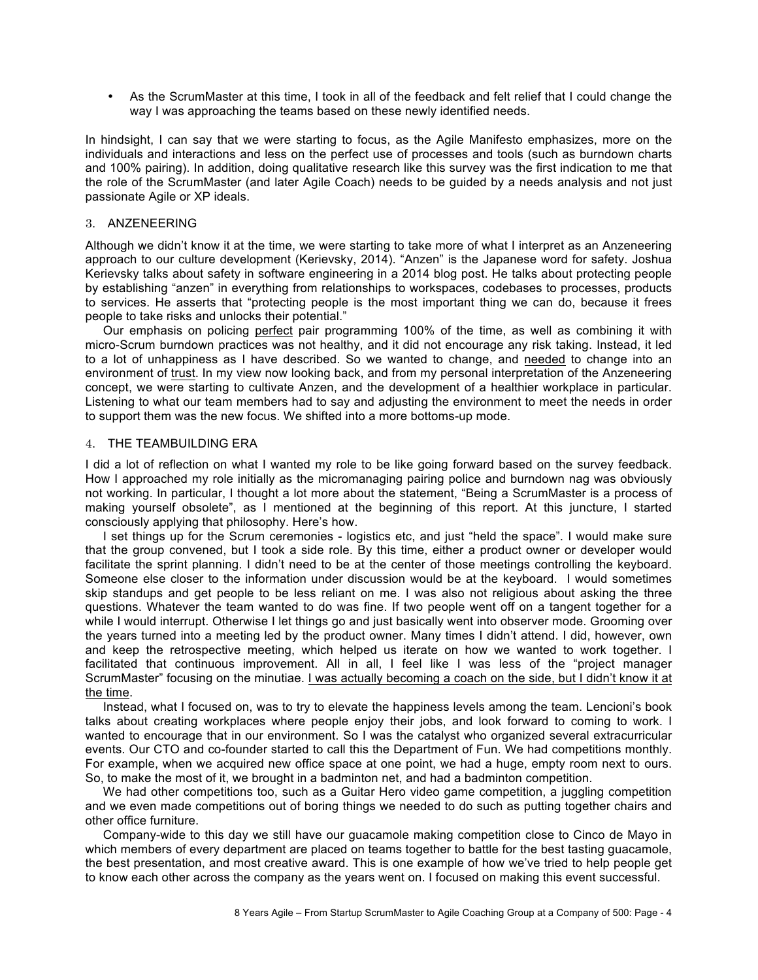• As the ScrumMaster at this time, I took in all of the feedback and felt relief that I could change the way I was approaching the teams based on these newly identified needs.

In hindsight, I can say that we were starting to focus, as the Agile Manifesto emphasizes, more on the individuals and interactions and less on the perfect use of processes and tools (such as burndown charts and 100% pairing). In addition, doing qualitative research like this survey was the first indication to me that the role of the ScrumMaster (and later Agile Coach) needs to be guided by a needs analysis and not just passionate Agile or XP ideals.

## 3. ANZENEERING

Although we didn't know it at the time, we were starting to take more of what I interpret as an Anzeneering approach to our culture development (Kerievsky, 2014). "Anzen" is the Japanese word for safety. Joshua Kerievsky talks about safety in software engineering in a 2014 blog post. He talks about protecting people by establishing "anzen" in everything from relationships to workspaces, codebases to processes, products to services. He asserts that "protecting people is the most important thing we can do, because it frees people to take risks and unlocks their potential."

Our emphasis on policing perfect pair programming 100% of the time, as well as combining it with micro-Scrum burndown practices was not healthy, and it did not encourage any risk taking. Instead, it led to a lot of unhappiness as I have described. So we wanted to change, and needed to change into an environment of trust. In my view now looking back, and from my personal interpretation of the Anzeneering concept, we were starting to cultivate Anzen, and the development of a healthier workplace in particular. Listening to what our team members had to say and adjusting the environment to meet the needs in order to support them was the new focus. We shifted into a more bottoms-up mode.

## 4. THE TEAMBUILDING ERA

I did a lot of reflection on what I wanted my role to be like going forward based on the survey feedback. How I approached my role initially as the micromanaging pairing police and burndown nag was obviously not working. In particular, I thought a lot more about the statement, "Being a ScrumMaster is a process of making yourself obsolete", as I mentioned at the beginning of this report. At this juncture, I started consciously applying that philosophy. Here's how.

I set things up for the Scrum ceremonies - logistics etc, and just "held the space". I would make sure that the group convened, but I took a side role. By this time, either a product owner or developer would facilitate the sprint planning. I didn't need to be at the center of those meetings controlling the keyboard. Someone else closer to the information under discussion would be at the keyboard. I would sometimes skip standups and get people to be less reliant on me. I was also not religious about asking the three questions. Whatever the team wanted to do was fine. If two people went off on a tangent together for a while I would interrupt. Otherwise I let things go and just basically went into observer mode. Grooming over the years turned into a meeting led by the product owner. Many times I didn't attend. I did, however, own and keep the retrospective meeting, which helped us iterate on how we wanted to work together. I facilitated that continuous improvement. All in all, I feel like I was less of the "project manager ScrumMaster" focusing on the minutiae. I was actually becoming a coach on the side, but I didn't know it at the time.

Instead, what I focused on, was to try to elevate the happiness levels among the team. Lencioni's book talks about creating workplaces where people enjoy their jobs, and look forward to coming to work. I wanted to encourage that in our environment. So I was the catalyst who organized several extracurricular events. Our CTO and co-founder started to call this the Department of Fun. We had competitions monthly. For example, when we acquired new office space at one point, we had a huge, empty room next to ours. So, to make the most of it, we brought in a badminton net, and had a badminton competition.

We had other competitions too, such as a Guitar Hero video game competition, a juggling competition and we even made competitions out of boring things we needed to do such as putting together chairs and other office furniture.

Company-wide to this day we still have our guacamole making competition close to Cinco de Mayo in which members of every department are placed on teams together to battle for the best tasting guacamole, the best presentation, and most creative award. This is one example of how we've tried to help people get to know each other across the company as the years went on. I focused on making this event successful.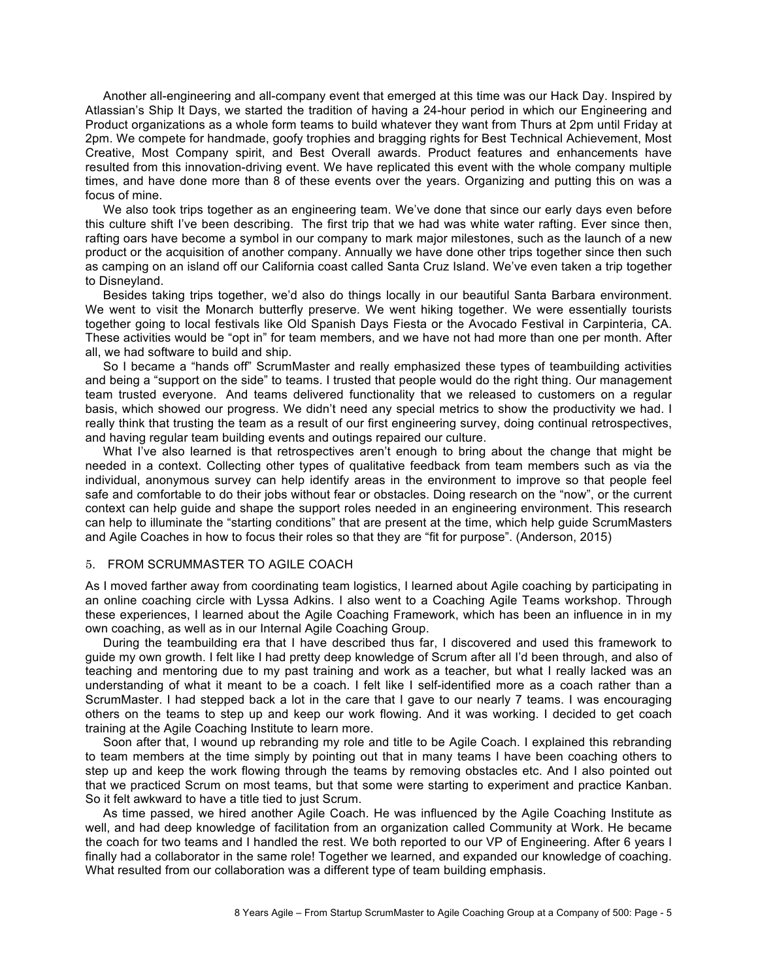Another all-engineering and all-company event that emerged at this time was our Hack Day. Inspired by Atlassian's Ship It Days, we started the tradition of having a 24-hour period in which our Engineering and Product organizations as a whole form teams to build whatever they want from Thurs at 2pm until Friday at 2pm. We compete for handmade, goofy trophies and bragging rights for Best Technical Achievement, Most Creative, Most Company spirit, and Best Overall awards. Product features and enhancements have resulted from this innovation-driving event. We have replicated this event with the whole company multiple times, and have done more than 8 of these events over the years. Organizing and putting this on was a focus of mine.

We also took trips together as an engineering team. We've done that since our early days even before this culture shift I've been describing. The first trip that we had was white water rafting. Ever since then, rafting oars have become a symbol in our company to mark major milestones, such as the launch of a new product or the acquisition of another company. Annually we have done other trips together since then such as camping on an island off our California coast called Santa Cruz Island. We've even taken a trip together to Disneyland.

Besides taking trips together, we'd also do things locally in our beautiful Santa Barbara environment. We went to visit the Monarch butterfly preserve. We went hiking together. We were essentially tourists together going to local festivals like Old Spanish Days Fiesta or the Avocado Festival in Carpinteria, CA. These activities would be "opt in" for team members, and we have not had more than one per month. After all, we had software to build and ship.

So I became a "hands off" ScrumMaster and really emphasized these types of teambuilding activities and being a "support on the side" to teams. I trusted that people would do the right thing. Our management team trusted everyone. And teams delivered functionality that we released to customers on a regular basis, which showed our progress. We didn't need any special metrics to show the productivity we had. I really think that trusting the team as a result of our first engineering survey, doing continual retrospectives, and having regular team building events and outings repaired our culture.

What I've also learned is that retrospectives aren't enough to bring about the change that might be needed in a context. Collecting other types of qualitative feedback from team members such as via the individual, anonymous survey can help identify areas in the environment to improve so that people feel safe and comfortable to do their jobs without fear or obstacles. Doing research on the "now", or the current context can help guide and shape the support roles needed in an engineering environment. This research can help to illuminate the "starting conditions" that are present at the time, which help guide ScrumMasters and Agile Coaches in how to focus their roles so that they are "fit for purpose". (Anderson, 2015)

## 5. FROM SCRUMMASTER TO AGILE COACH

As I moved farther away from coordinating team logistics, I learned about Agile coaching by participating in an online coaching circle with Lyssa Adkins. I also went to a Coaching Agile Teams workshop. Through these experiences, I learned about the Agile Coaching Framework, which has been an influence in in my own coaching, as well as in our Internal Agile Coaching Group.

During the teambuilding era that I have described thus far, I discovered and used this framework to guide my own growth. I felt like I had pretty deep knowledge of Scrum after all I'd been through, and also of teaching and mentoring due to my past training and work as a teacher, but what I really lacked was an understanding of what it meant to be a coach. I felt like I self-identified more as a coach rather than a ScrumMaster. I had stepped back a lot in the care that I gave to our nearly 7 teams. I was encouraging others on the teams to step up and keep our work flowing. And it was working. I decided to get coach training at the Agile Coaching Institute to learn more.

Soon after that, I wound up rebranding my role and title to be Agile Coach. I explained this rebranding to team members at the time simply by pointing out that in many teams I have been coaching others to step up and keep the work flowing through the teams by removing obstacles etc. And I also pointed out that we practiced Scrum on most teams, but that some were starting to experiment and practice Kanban. So it felt awkward to have a title tied to just Scrum.

As time passed, we hired another Agile Coach. He was influenced by the Agile Coaching Institute as well, and had deep knowledge of facilitation from an organization called Community at Work. He became the coach for two teams and I handled the rest. We both reported to our VP of Engineering. After 6 years I finally had a collaborator in the same role! Together we learned, and expanded our knowledge of coaching. What resulted from our collaboration was a different type of team building emphasis.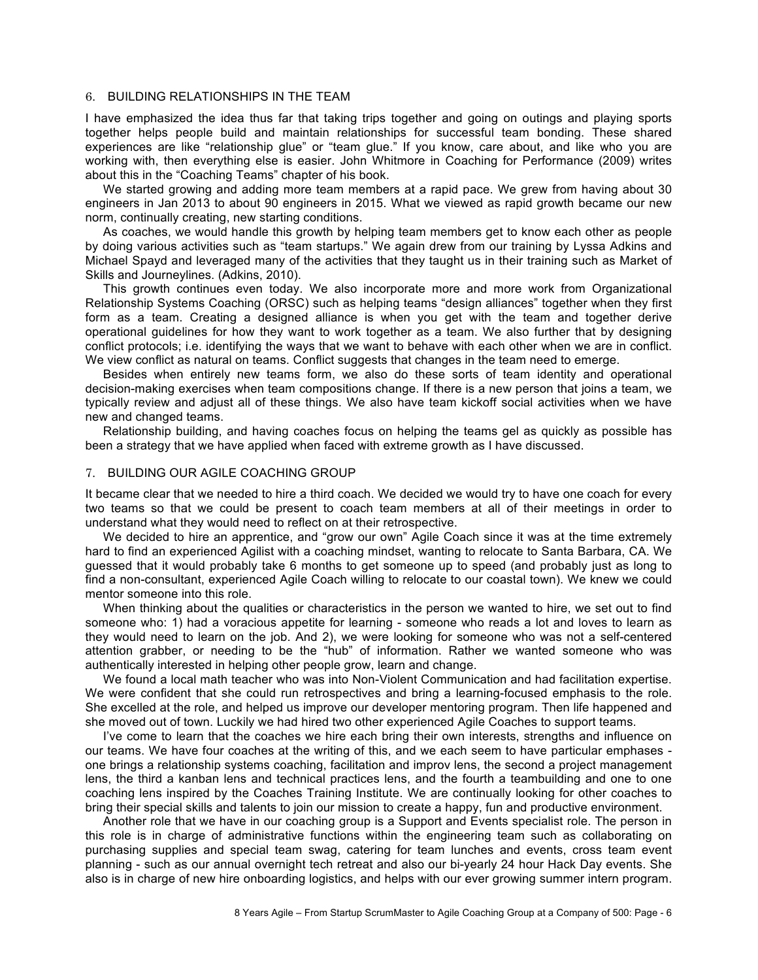### 6. BUILDING RELATIONSHIPS IN THE TEAM

I have emphasized the idea thus far that taking trips together and going on outings and playing sports together helps people build and maintain relationships for successful team bonding. These shared experiences are like "relationship glue" or "team glue." If you know, care about, and like who you are working with, then everything else is easier. John Whitmore in Coaching for Performance (2009) writes about this in the "Coaching Teams" chapter of his book.

We started growing and adding more team members at a rapid pace. We grew from having about 30 engineers in Jan 2013 to about 90 engineers in 2015. What we viewed as rapid growth became our new norm, continually creating, new starting conditions.

As coaches, we would handle this growth by helping team members get to know each other as people by doing various activities such as "team startups." We again drew from our training by Lyssa Adkins and Michael Spayd and leveraged many of the activities that they taught us in their training such as Market of Skills and Journeylines. (Adkins, 2010).

This growth continues even today. We also incorporate more and more work from Organizational Relationship Systems Coaching (ORSC) such as helping teams "design alliances" together when they first form as a team. Creating a designed alliance is when you get with the team and together derive operational guidelines for how they want to work together as a team. We also further that by designing conflict protocols; i.e. identifying the ways that we want to behave with each other when we are in conflict. We view conflict as natural on teams. Conflict suggests that changes in the team need to emerge.

Besides when entirely new teams form, we also do these sorts of team identity and operational decision-making exercises when team compositions change. If there is a new person that joins a team, we typically review and adjust all of these things. We also have team kickoff social activities when we have new and changed teams.

Relationship building, and having coaches focus on helping the teams gel as quickly as possible has been a strategy that we have applied when faced with extreme growth as I have discussed.

## 7. BUILDING OUR AGILE COACHING GROUP

It became clear that we needed to hire a third coach. We decided we would try to have one coach for every two teams so that we could be present to coach team members at all of their meetings in order to understand what they would need to reflect on at their retrospective.

We decided to hire an apprentice, and "grow our own" Agile Coach since it was at the time extremely hard to find an experienced Agilist with a coaching mindset, wanting to relocate to Santa Barbara, CA. We guessed that it would probably take 6 months to get someone up to speed (and probably just as long to find a non-consultant, experienced Agile Coach willing to relocate to our coastal town). We knew we could mentor someone into this role.

When thinking about the qualities or characteristics in the person we wanted to hire, we set out to find someone who: 1) had a voracious appetite for learning - someone who reads a lot and loves to learn as they would need to learn on the job. And 2), we were looking for someone who was not a self-centered attention grabber, or needing to be the "hub" of information. Rather we wanted someone who was authentically interested in helping other people grow, learn and change.

We found a local math teacher who was into Non-Violent Communication and had facilitation expertise. We were confident that she could run retrospectives and bring a learning-focused emphasis to the role. She excelled at the role, and helped us improve our developer mentoring program. Then life happened and she moved out of town. Luckily we had hired two other experienced Agile Coaches to support teams.

I've come to learn that the coaches we hire each bring their own interests, strengths and influence on our teams. We have four coaches at the writing of this, and we each seem to have particular emphases one brings a relationship systems coaching, facilitation and improv lens, the second a project management lens, the third a kanban lens and technical practices lens, and the fourth a teambuilding and one to one coaching lens inspired by the Coaches Training Institute. We are continually looking for other coaches to bring their special skills and talents to join our mission to create a happy, fun and productive environment.

Another role that we have in our coaching group is a Support and Events specialist role. The person in this role is in charge of administrative functions within the engineering team such as collaborating on purchasing supplies and special team swag, catering for team lunches and events, cross team event planning - such as our annual overnight tech retreat and also our bi-yearly 24 hour Hack Day events. She also is in charge of new hire onboarding logistics, and helps with our ever growing summer intern program.